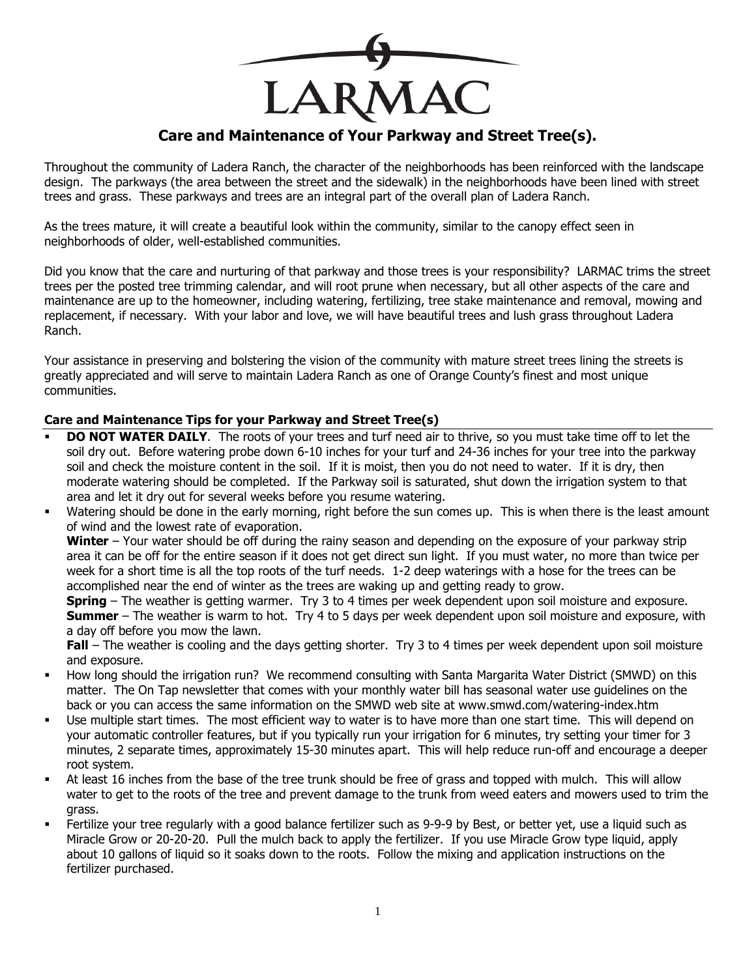

## **Care and Maintenance of Your Parkway and Street Tree(s).**

Throughout the community of Ladera Ranch, the character of the neighborhoods has been reinforced with the landscape design. The parkways (the area between the street and the sidewalk) in the neighborhoods have been lined with street trees and grass. These parkways and trees are an integral part of the overall plan of Ladera Ranch.

As the trees mature, it will create a beautiful look within the community, similar to the canopy effect seen in neighborhoods of older, well-established communities.

Did you know that the care and nurturing of that parkway and those trees is your responsibility? LARMAC trims the street trees per the posted tree trimming calendar, and will root prune when necessary, but all other aspects of the care and maintenance are up to the homeowner, including watering, fertilizing, tree stake maintenance and removal, mowing and replacement, if necessary. With your labor and love, we will have beautiful trees and lush grass throughout Ladera Ranch.

Your assistance in preserving and bolstering the vision of the community with mature street trees lining the streets is greatly appreciated and will serve to maintain Ladera Ranch as one of Orange County's finest and most unique communities.

## **Care and Maintenance Tips for your Parkway and Street Tree(s)**

- **DO NOT WATER DAILY**. The roots of your trees and turf need air to thrive, so you must take time off to let the soil dry out. Before watering probe down 6-10 inches for your turf and 24-36 inches for your tree into the parkway soil and check the moisture content in the soil. If it is moist, then you do not need to water. If it is dry, then moderate watering should be completed. If the Parkway soil is saturated, shut down the irrigation system to that area and let it dry out for several weeks before you resume watering.
- Watering should be done in the early morning, right before the sun comes up. This is when there is the least amount of wind and the lowest rate of evaporation.

**Winter** – Your water should be off during the rainy season and depending on the exposure of your parkway strip area it can be off for the entire season if it does not get direct sun light. If you must water, no more than twice per week for a short time is all the top roots of the turf needs. 1-2 deep waterings with a hose for the trees can be accomplished near the end of winter as the trees are waking up and getting ready to grow.

**Spring** – The weather is getting warmer. Try 3 to 4 times per week dependent upon soil moisture and exposure. **Summer** – The weather is warm to hot. Try 4 to 5 days per week dependent upon soil moisture and exposure, with a day off before you mow the lawn.

**Fall** – The weather is cooling and the days getting shorter. Try 3 to 4 times per week dependent upon soil moisture and exposure.

- How long should the irrigation run? We recommend consulting with Santa Margarita Water District (SMWD) on this matter. The On Tap newsletter that comes with your monthly water bill has seasonal water use guidelines on the back or you can access the same information on the SMWD web site at www.smwd.com/watering-index.htm
- Use multiple start times. The most efficient way to water is to have more than one start time. This will depend on your automatic controller features, but if you typically run your irrigation for 6 minutes, try setting your timer for 3 minutes, 2 separate times, approximately 15-30 minutes apart. This will help reduce run-off and encourage a deeper root system.
- At least 16 inches from the base of the tree trunk should be free of grass and topped with mulch. This will allow water to get to the roots of the tree and prevent damage to the trunk from weed eaters and mowers used to trim the grass.
- Fertilize your tree regularly with a good balance fertilizer such as 9-9-9 by Best, or better yet, use a liquid such as Miracle Grow or 20-20-20. Pull the mulch back to apply the fertilizer. If you use Miracle Grow type liquid, apply about 10 gallons of liquid so it soaks down to the roots. Follow the mixing and application instructions on the fertilizer purchased.